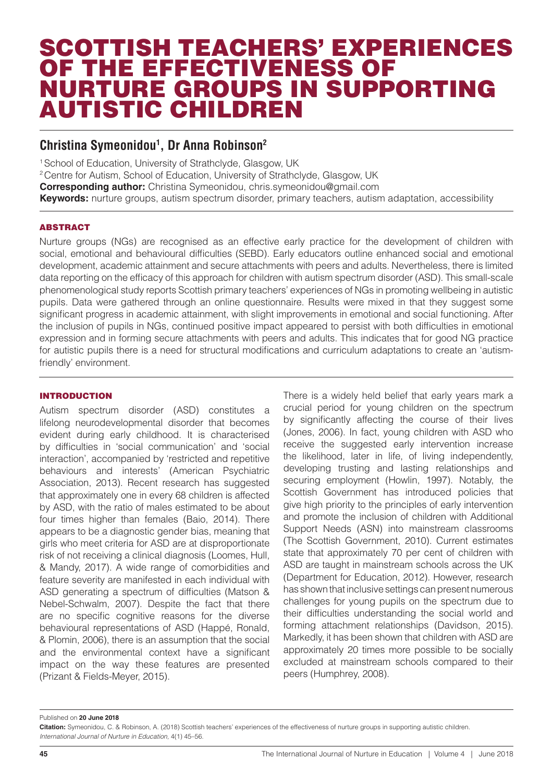## SCOTTISH TEACHERS' EXPERIENCES OF THE EFFECTIVENESS OF NURTURE GROUPS IN SUPPORTING AUTISTIC CHILDREN

### **Christina Symeonidou1 , Dr Anna Robinson2**

<sup>1</sup> School of Education, University of Strathclyde, Glasgow, UK 2 Centre for Autism, School of Education, University of Strathclyde, Glasgow, UK **Corresponding author:** Christina Symeonidou, chris.symeonidou@gmail.com **Keywords:** nurture groups, autism spectrum disorder, primary teachers, autism adaptation, accessibility

#### ABSTRACT

Nurture groups (NGs) are recognised as an effective early practice for the development of children with social, emotional and behavioural difficulties (SEBD). Early educators outline enhanced social and emotional development, academic attainment and secure attachments with peers and adults. Nevertheless, there is limited data reporting on the efficacy of this approach for children with autism spectrum disorder (ASD). This small-scale phenomenological study reports Scottish primary teachers' experiences of NGs in promoting wellbeing in autistic pupils. Data were gathered through an online questionnaire. Results were mixed in that they suggest some significant progress in academic attainment, with slight improvements in emotional and social functioning. After the inclusion of pupils in NGs, continued positive impact appeared to persist with both difficulties in emotional expression and in forming secure attachments with peers and adults. This indicates that for good NG practice for autistic pupils there is a need for structural modifications and curriculum adaptations to create an 'autismfriendly' environment.

#### INTRODUCTION

Autism spectrum disorder (ASD) constitutes a lifelong neurodevelopmental disorder that becomes evident during early childhood. It is characterised by difficulties in 'social communication' and 'social interaction', accompanied by 'restricted and repetitive behaviours and interests' (American Psychiatric Association, 2013). Recent research has suggested that approximately one in every 68 children is affected by ASD, with the ratio of males estimated to be about four times higher than females (Baio, 2014). There appears to be a diagnostic gender bias, meaning that girls who meet criteria for ASD are at disproportionate risk of not receiving a clinical diagnosis (Loomes, Hull, & Mandy, 2017). A wide range of comorbidities and feature severity are manifested in each individual with ASD generating a spectrum of difficulties (Matson & Nebel-Schwalm, 2007). Despite the fact that there are no specific cognitive reasons for the diverse behavioural representations of ASD (Happé, Ronald, & Plomin, 2006), there is an assumption that the social and the environmental context have a significant impact on the way these features are presented (Prizant & Fields-Meyer, 2015).

There is a widely held belief that early years mark a crucial period for young children on the spectrum by significantly affecting the course of their lives (Jones, 2006). In fact, young children with ASD who receive the suggested early intervention increase the likelihood, later in life, of living independently, developing trusting and lasting relationships and securing employment (Howlin, 1997). Notably, the Scottish Government has introduced policies that give high priority to the principles of early intervention and promote the inclusion of children with Additional Support Needs (ASN) into mainstream classrooms (The Scottish Government, 2010). Current estimates state that approximately 70 per cent of children with ASD are taught in mainstream schools across the UK (Department for Education, 2012). However, research has shown that inclusive settings can present numerous challenges for young pupils on the spectrum due to their difficulties understanding the social world and forming attachment relationships (Davidson, 2015). Markedly, it has been shown that children with ASD are approximately 20 times more possible to be socially excluded at mainstream schools compared to their peers (Humphrey, 2008).

#### Published on **20 June 2018**

**Citation:** Symeonidou, C. & Robinson, A. (2018) Scottish teachers' experiences of the effectiveness of nurture groups in supporting autistic children. *International Journal of Nurture in Education,* 4(1) 45–56.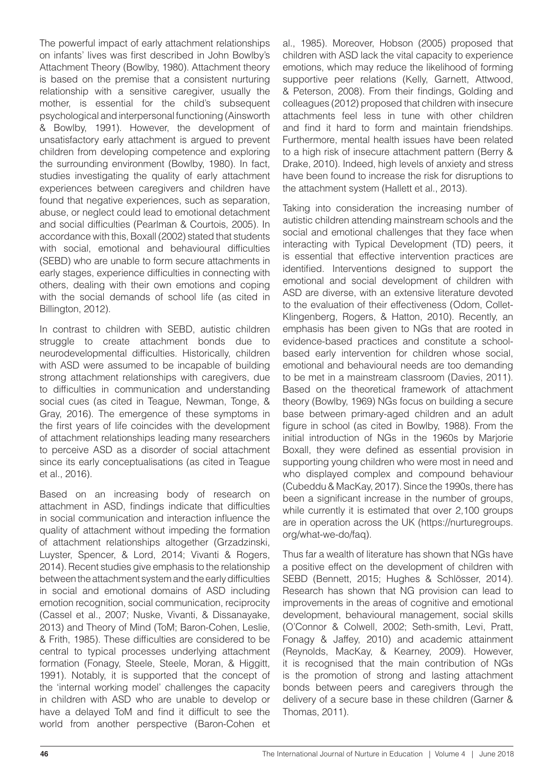The powerful impact of early attachment relationships on infants' lives was first described in John Bowlby's Attachment Theory (Bowlby, 1980). Attachment theory is based on the premise that a consistent nurturing relationship with a sensitive caregiver, usually the mother, is essential for the child's subsequent psychological and interpersonal functioning (Ainsworth & Bowlby, 1991). However, the development of unsatisfactory early attachment is argued to prevent children from developing competence and exploring the surrounding environment (Bowlby, 1980). In fact, studies investigating the quality of early attachment experiences between caregivers and children have found that negative experiences, such as separation, abuse, or neglect could lead to emotional detachment and social difficulties (Pearlman & Courtois, 2005). In accordance with this, Boxall (2002) stated that students with social, emotional and behavioural difficulties (SEBD) who are unable to form secure attachments in early stages, experience difficulties in connecting with others, dealing with their own emotions and coping with the social demands of school life (as cited in Billington, 2012).

In contrast to children with SEBD, autistic children struggle to create attachment bonds due to neurodevelopmental difficulties. Historically, children with ASD were assumed to be incapable of building strong attachment relationships with caregivers, due to difficulties in communication and understanding social cues (as cited in Teague, Newman, Tonge, & Gray, 2016). The emergence of these symptoms in the first years of life coincides with the development of attachment relationships leading many researchers to perceive ASD as a disorder of social attachment since its early conceptualisations (as cited in Teague et al., 2016).

Based on an increasing body of research on attachment in ASD, findings indicate that difficulties in social communication and interaction influence the quality of attachment without impeding the formation of attachment relationships altogether (Grzadzinski, Luyster, Spencer, & Lord, 2014; Vivanti & Rogers, 2014). Recent studies give emphasis to the relationship between the attachment system and the early difficulties in social and emotional domains of ASD including emotion recognition, social communication, reciprocity (Cassel et al., 2007; Nuske, Vivanti, & Dissanayake, 2013) and Theory of Mind (ToM; Baron-Cohen, Leslie, & Frith, 1985). These difficulties are considered to be central to typical processes underlying attachment formation (Fonagy, Steele, Steele, Moran, & Higgitt, 1991). Notably, it is supported that the concept of the 'internal working model' challenges the capacity in children with ASD who are unable to develop or have a delayed ToM and find it difficult to see the world from another perspective (Baron-Cohen et

al., 1985). Moreover, Hobson (2005) proposed that children with ASD lack the vital capacity to experience emotions, which may reduce the likelihood of forming supportive peer relations (Kelly, Garnett, Attwood, & Peterson, 2008). From their findings, Golding and colleagues (2012) proposed that children with insecure attachments feel less in tune with other children and find it hard to form and maintain friendships. Furthermore, mental health issues have been related to a high risk of insecure attachment pattern (Berry & Drake, 2010). Indeed, high levels of anxiety and stress have been found to increase the risk for disruptions to the attachment system (Hallett et al., 2013).

Taking into consideration the increasing number of autistic children attending mainstream schools and the social and emotional challenges that they face when interacting with Typical Development (TD) peers, it is essential that effective intervention practices are identified. Interventions designed to support the emotional and social development of children with ASD are diverse, with an extensive literature devoted to the evaluation of their effectiveness (Odom, Collet-Klingenberg, Rogers, & Hatton, 2010). Recently, an emphasis has been given to NGs that are rooted in evidence-based practices and constitute a schoolbased early intervention for children whose social, emotional and behavioural needs are too demanding to be met in a mainstream classroom (Davies, 2011). Based on the theoretical framework of attachment theory (Bowlby, 1969) NGs focus on building a secure base between primary-aged children and an adult figure in school (as cited in Bowlby, 1988). From the initial introduction of NGs in the 1960s by Marjorie Boxall, they were defined as essential provision in supporting young children who were most in need and who displayed complex and compound behaviour (Cubeddu & MacKay, 2017). Since the 1990s, there has been a significant increase in the number of groups, while currently it is estimated that over 2,100 groups are in operation across the UK (https://nurturegroups. org/what-we-do/faq).

Thus far a wealth of literature has shown that NGs have a positive effect on the development of children with SEBD (Bennett, 2015; Hughes & Schlösser, 2014). Research has shown that NG provision can lead to improvements in the areas of cognitive and emotional development, behavioural management, social skills (O'Connor & Colwell, 2002; Seth-smith, Levi, Pratt, Fonagy & Jaffey, 2010) and academic attainment (Reynolds, MacKay, & Kearney, 2009). However, it is recognised that the main contribution of NGs is the promotion of strong and lasting attachment bonds between peers and caregivers through the delivery of a secure base in these children (Garner & Thomas, 2011).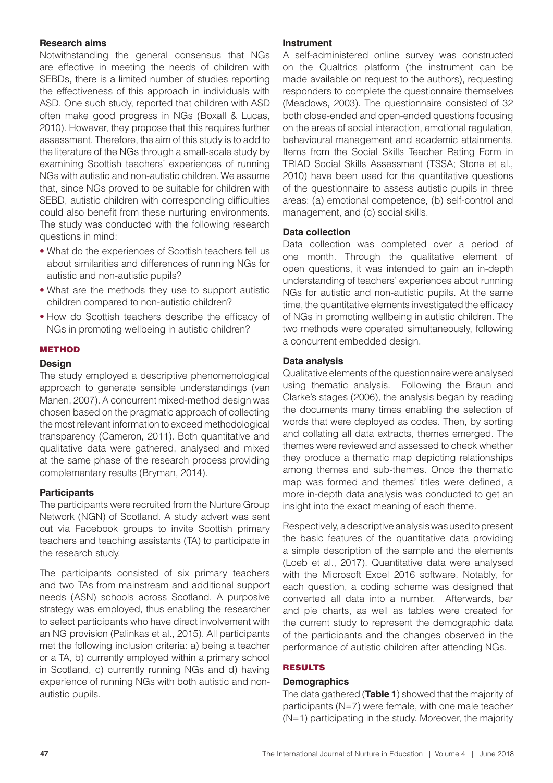#### **Research aims**

Notwithstanding the general consensus that NGs are effective in meeting the needs of children with SEBDs, there is a limited number of studies reporting the effectiveness of this approach in individuals with ASD. One such study, reported that children with ASD often make good progress in NGs (Boxall & Lucas, 2010). However, they propose that this requires further assessment. Therefore, the aim of this study is to add to the literature of the NGs through a small-scale study by examining Scottish teachers' experiences of running NGs with autistic and non-autistic children. We assume that, since NGs proved to be suitable for children with SEBD, autistic children with corresponding difficulties could also benefit from these nurturing environments. The study was conducted with the following research questions in mind:

- What do the experiences of Scottish teachers tell us about similarities and differences of running NGs for autistic and non-autistic pupils?
- What are the methods they use to support autistic children compared to non-autistic children?
- How do Scottish teachers describe the efficacy of NGs in promoting wellbeing in autistic children?

#### METHOD

#### **Design**

The study employed a descriptive phenomenological approach to generate sensible understandings (van Manen, 2007). A concurrent mixed-method design was chosen based on the pragmatic approach of collecting the most relevant information to exceed methodological transparency (Cameron, 2011). Both quantitative and qualitative data were gathered, analysed and mixed at the same phase of the research process providing complementary results (Bryman, 2014).

#### **Participants**

The participants were recruited from the Nurture Group Network (NGN) of Scotland. A study advert was sent out via Facebook groups to invite Scottish primary teachers and teaching assistants (TA) to participate in the research study.

The participants consisted of six primary teachers and two TAs from mainstream and additional support needs (ASN) schools across Scotland. A purposive strategy was employed, thus enabling the researcher to select participants who have direct involvement with an NG provision (Palinkas et al., 2015). All participants met the following inclusion criteria: a) being a teacher or a TA, b) currently employed within a primary school in Scotland, c) currently running NGs and d) having experience of running NGs with both autistic and nonautistic pupils.

#### **Instrument**

A self-administered online survey was constructed on the Qualtrics platform (the instrument can be made available on request to the authors), requesting responders to complete the questionnaire themselves (Meadows, 2003). The questionnaire consisted of 32 both close-ended and open-ended questions focusing on the areas of social interaction, emotional regulation, behavioural management and academic attainments. Items from the Social Skills Teacher Rating Form in TRIAD Social Skills Assessment (TSSA; Stone et al., 2010) have been used for the quantitative questions of the questionnaire to assess autistic pupils in three areas: (a) emotional competence, (b) self-control and management, and (c) social skills.

#### **Data collection**

Data collection was completed over a period of one month. Through the qualitative element of open questions, it was intended to gain an in-depth understanding of teachers' experiences about running NGs for autistic and non-autistic pupils. At the same time, the quantitative elements investigated the efficacy of NGs in promoting wellbeing in autistic children. The two methods were operated simultaneously, following a concurrent embedded design.

#### **Data analysis**

Qualitative elements of the questionnaire were analysed using thematic analysis. Following the Braun and Clarke's stages (2006), the analysis began by reading the documents many times enabling the selection of words that were deployed as codes. Then, by sorting and collating all data extracts, themes emerged. The themes were reviewed and assessed to check whether they produce a thematic map depicting relationships among themes and sub-themes. Once the thematic map was formed and themes' titles were defined, a more in-depth data analysis was conducted to get an insight into the exact meaning of each theme.

Respectively, a descriptive analysis was used to present the basic features of the quantitative data providing a simple description of the sample and the elements (Loeb et al., 2017). Quantitative data were analysed with the Microsoft Excel 2016 software. Notably, for each question, a coding scheme was designed that converted all data into a number. Afterwards, bar and pie charts, as well as tables were created for the current study to represent the demographic data of the participants and the changes observed in the performance of autistic children after attending NGs.

#### RESULTS

#### **Demographics**

The data gathered (**Table 1**) showed that the majority of participants (N=7) were female, with one male teacher (N=1) participating in the study. Moreover, the majority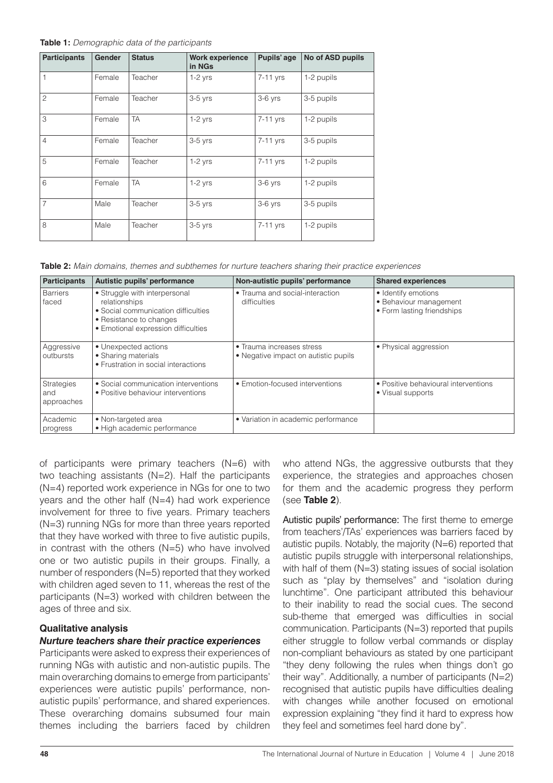#### **Table 1:** *Demographic data of the participants*

| <b>Participants</b> | <b>Gender</b> | <b>Status</b> | <b>Work experience</b><br>in NGs | Pupils' age | No of ASD pupils |
|---------------------|---------------|---------------|----------------------------------|-------------|------------------|
| 1                   | Female        | Teacher       | $1-2$ yrs                        | 7-11 yrs    | 1-2 pupils       |
| $\overline{c}$      | Female        | Teacher       | $3-5$ yrs                        | $3-6$ yrs   | 3-5 pupils       |
| 3                   | Female        | <b>TA</b>     | $1-2$ yrs                        | $7-11$ yrs  | 1-2 pupils       |
| $\overline{4}$      | Female        | Teacher       | $3-5$ yrs                        | 7-11 yrs    | 3-5 pupils       |
| 5                   | Female        | Teacher       | $1-2$ yrs                        | 7-11 yrs    | 1-2 pupils       |
| 6                   | Female        | <b>TA</b>     | $1-2$ yrs                        | 3-6 yrs     | 1-2 pupils       |
| $\overline{7}$      | Male          | Teacher       | $3-5$ yrs                        | $3-6$ yrs   | 3-5 pupils       |
| 8                   | Male          | Teacher       | $3-5$ yrs                        | 7-11 yrs    | 1-2 pupils       |

**Table 2:** *Main domains, themes and subthemes for nurture teachers sharing their practice experiences*

| <b>Participants</b>             | Autistic pupils' performance                                                                                                                            | Non-autistic pupils' performance                                  | <b>Shared experiences</b>                                                   |
|---------------------------------|---------------------------------------------------------------------------------------------------------------------------------------------------------|-------------------------------------------------------------------|-----------------------------------------------------------------------------|
| <b>Barriers</b><br>faced        | • Struggle with interpersonal<br>relationships<br>• Social communication difficulties<br>• Resistance to changes<br>• Emotional expression difficulties | • Trauma and social-interaction<br>difficulties                   | • Identify emotions<br>• Behaviour management<br>• Form lasting friendships |
| Aggressive<br>outbursts         | • Unexpected actions<br>• Sharing materials<br>• Frustration in social interactions                                                                     | • Trauma increases stress<br>• Negative impact on autistic pupils | . Physical aggression                                                       |
| Strategies<br>and<br>approaches | • Social communication interventions<br>• Positive behaviour interventions                                                                              | • Emotion-focused interventions                                   | • Positive behavioural interventions<br>• Visual supports                   |
| Academic<br>progress            | • Non-targeted area<br>· High academic performance                                                                                                      | • Variation in academic performance                               |                                                                             |

of participants were primary teachers (N=6) with two teaching assistants (N=2). Half the participants (N=4) reported work experience in NGs for one to two years and the other half (N=4) had work experience involvement for three to five years. Primary teachers (N=3) running NGs for more than three years reported that they have worked with three to five autistic pupils, in contrast with the others (N=5) who have involved one or two autistic pupils in their groups. Finally, a number of responders (N=5) reported that they worked with children aged seven to 11, whereas the rest of the participants (N=3) worked with children between the ages of three and six.

#### **Qualitative analysis**

#### *Nurture teachers share their practice experiences*

Participants were asked to express their experiences of running NGs with autistic and non-autistic pupils. The main overarching domains to emerge from participants' experiences were autistic pupils' performance, nonautistic pupils' performance, and shared experiences. These overarching domains subsumed four main themes including the barriers faced by children

who attend NGs, the aggressive outbursts that they experience, the strategies and approaches chosen for them and the academic progress they perform (see **Table 2**).

Autistic pupils' performance: The first theme to emerge from teachers'/TAs' experiences was barriers faced by autistic pupils. Notably, the majority (N=6) reported that autistic pupils struggle with interpersonal relationships, with half of them (N=3) stating issues of social isolation such as "play by themselves" and "isolation during lunchtime". One participant attributed this behaviour to their inability to read the social cues. The second sub-theme that emerged was difficulties in social communication. Participants (N=3) reported that pupils either struggle to follow verbal commands or display non-compliant behaviours as stated by one participant "they deny following the rules when things don't go their way". Additionally, a number of participants  $(N=2)$ recognised that autistic pupils have difficulties dealing with changes while another focused on emotional expression explaining "they find it hard to express how they feel and sometimes feel hard done by".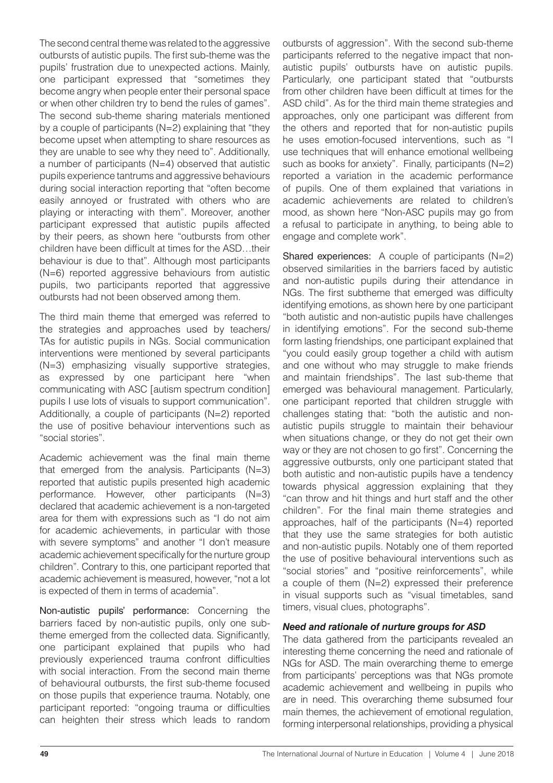The second central theme was related to the aggressive outbursts of autistic pupils. The first sub-theme was the pupils' frustration due to unexpected actions. Mainly, one participant expressed that "sometimes they become angry when people enter their personal space or when other children try to bend the rules of games". The second sub-theme sharing materials mentioned by a couple of participants (N=2) explaining that "they become upset when attempting to share resources as they are unable to see why they need to". Additionally, a number of participants (N=4) observed that autistic pupils experience tantrums and aggressive behaviours during social interaction reporting that "often become easily annoyed or frustrated with others who are playing or interacting with them". Moreover, another participant expressed that autistic pupils affected by their peers, as shown here "outbursts from other children have been difficult at times for the ASD…their behaviour is due to that". Although most participants (N=6) reported aggressive behaviours from autistic pupils, two participants reported that aggressive outbursts had not been observed among them.

The third main theme that emerged was referred to the strategies and approaches used by teachers/ TAs for autistic pupils in NGs. Social communication interventions were mentioned by several participants (N=3) emphasizing visually supportive strategies, as expressed by one participant here "when communicating with ASC [autism spectrum condition] pupils I use lots of visuals to support communication". Additionally, a couple of participants (N=2) reported the use of positive behaviour interventions such as "social stories".

Academic achievement was the final main theme that emerged from the analysis. Participants  $(N=3)$ reported that autistic pupils presented high academic performance. However, other participants (N=3) declared that academic achievement is a non-targeted area for them with expressions such as "I do not aim for academic achievements, in particular with those with severe symptoms" and another "I don't measure academic achievement specifically for the nurture group children". Contrary to this, one participant reported that academic achievement is measured, however, "not a lot is expected of them in terms of academia".

Non-autistic pupils' performance: Concerning the barriers faced by non-autistic pupils, only one subtheme emerged from the collected data. Significantly, one participant explained that pupils who had previously experienced trauma confront difficulties with social interaction. From the second main theme of behavioural outbursts, the first sub-theme focused on those pupils that experience trauma. Notably, one participant reported: "ongoing trauma or difficulties can heighten their stress which leads to random outbursts of aggression". With the second sub-theme participants referred to the negative impact that nonautistic pupils' outbursts have on autistic pupils. Particularly, one participant stated that "outbursts from other children have been difficult at times for the ASD child". As for the third main theme strategies and approaches, only one participant was different from the others and reported that for non-autistic pupils he uses emotion-focused interventions, such as "I use techniques that will enhance emotional wellbeing such as books for anxiety". Finally, participants (N=2) reported a variation in the academic performance of pupils. One of them explained that variations in academic achievements are related to children's mood, as shown here "Non-ASC pupils may go from a refusal to participate in anything, to being able to engage and complete work".

Shared experiences: A couple of participants (N=2) observed similarities in the barriers faced by autistic and non-autistic pupils during their attendance in NGs. The first subtheme that emerged was difficulty identifying emotions, as shown here by one participant "both autistic and non-autistic pupils have challenges in identifying emotions". For the second sub-theme form lasting friendships, one participant explained that "you could easily group together a child with autism and one without who may struggle to make friends and maintain friendships". The last sub-theme that emerged was behavioural management. Particularly, one participant reported that children struggle with challenges stating that: "both the autistic and nonautistic pupils struggle to maintain their behaviour when situations change, or they do not get their own way or they are not chosen to go first". Concerning the aggressive outbursts, only one participant stated that both autistic and non-autistic pupils have a tendency towards physical aggression explaining that they "can throw and hit things and hurt staff and the other children". For the final main theme strategies and approaches, half of the participants (N=4) reported that they use the same strategies for both autistic and non-autistic pupils. Notably one of them reported the use of positive behavioural interventions such as "social stories" and "positive reinforcements", while a couple of them (N=2) expressed their preference in visual supports such as "visual timetables, sand timers, visual clues, photographs".

#### *Need and rationale of nurture groups for ASD*

The data gathered from the participants revealed an interesting theme concerning the need and rationale of NGs for ASD. The main overarching theme to emerge from participants' perceptions was that NGs promote academic achievement and wellbeing in pupils who are in need. This overarching theme subsumed four main themes, the achievement of emotional regulation, forming interpersonal relationships, providing a physical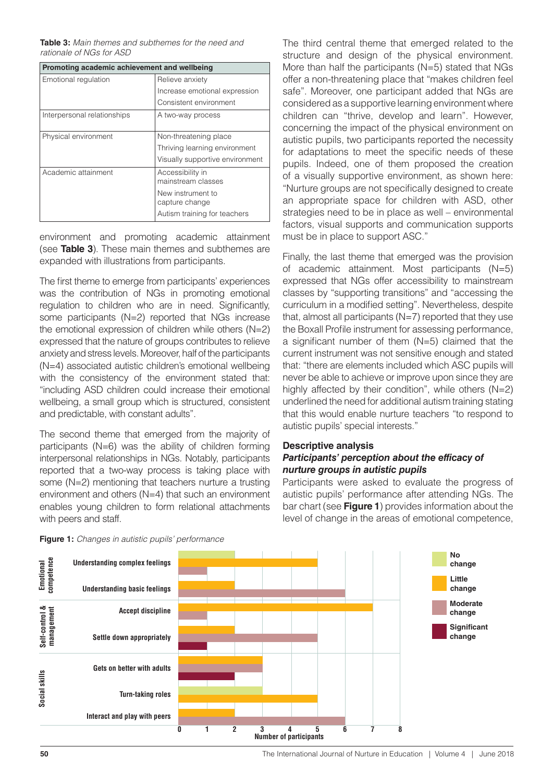**Table 3:** *Main themes and subthemes for the need and rationale of NGs for ASD*

| Promoting academic achievement and wellbeing |                                        |  |  |  |
|----------------------------------------------|----------------------------------------|--|--|--|
| Emotional regulation                         | Relieve anxiety                        |  |  |  |
|                                              | Increase emotional expression          |  |  |  |
|                                              | Consistent environment                 |  |  |  |
| Interpersonal relationships                  | A two-way process                      |  |  |  |
| Physical environment                         | Non-threatening place                  |  |  |  |
|                                              | Thriving learning environment          |  |  |  |
|                                              | Visually supportive environment        |  |  |  |
| Academic attainment                          | Accessibility in<br>mainstream classes |  |  |  |
|                                              | New instrument to<br>capture change    |  |  |  |
|                                              | Autism training for teachers           |  |  |  |

environment and promoting academic attainment (see **Table 3**). These main themes and subthemes are expanded with illustrations from participants.

The first theme to emerge from participants' experiences was the contribution of NGs in promoting emotional regulation to children who are in need. Significantly, some participants (N=2) reported that NGs increase the emotional expression of children while others (N=2) expressed that the nature of groups contributes to relieve anxiety and stress levels. Moreover, half of the participants (N=4) associated autistic children's emotional wellbeing with the consistency of the environment stated that: "including ASD children could increase their emotional wellbeing, a small group which is structured, consistent and predictable, with constant adults".

The second theme that emerged from the majority of participants (N=6) was the ability of children forming interpersonal relationships in NGs. Notably, participants reported that a two-way process is taking place with some (N=2) mentioning that teachers nurture a trusting environment and others (N=4) that such an environment enables young children to form relational attachments with peers and staff.

The third central theme that emerged related to the structure and design of the physical environment. More than half the participants (N=5) stated that NGs offer a non-threatening place that "makes children feel safe". Moreover, one participant added that NGs are considered as a supportive learning environment where children can "thrive, develop and learn". However, concerning the impact of the physical environment on autistic pupils, two participants reported the necessity for adaptations to meet the specific needs of these pupils. Indeed, one of them proposed the creation of a visually supportive environment, as shown here: "Nurture groups are not specifically designed to create an appropriate space for children with ASD, other strategies need to be in place as well – environmental factors, visual supports and communication supports must be in place to support ASC."

Finally, the last theme that emerged was the provision of academic attainment. Most participants (N=5) expressed that NGs offer accessibility to mainstream classes by "supporting transitions" and "accessing the curriculum in a modified setting". Nevertheless, despite that, almost all participants (N=7) reported that they use the Boxall Profile instrument for assessing performance, a significant number of them (N=5) claimed that the current instrument was not sensitive enough and stated that: "there are elements included which ASC pupils will never be able to achieve or improve upon since they are highly affected by their condition", while others (N=2) underlined the need for additional autism training stating that this would enable nurture teachers "to respond to autistic pupils' special interests."

#### **Descriptive analysis** *Participants' perception about the efficacy of nurture groups in autistic pupils*

Participants were asked to evaluate the progress of autistic pupils' performance after attending NGs. The bar chart (see **Figure 1**) provides information about the level of change in the areas of emotional competence,



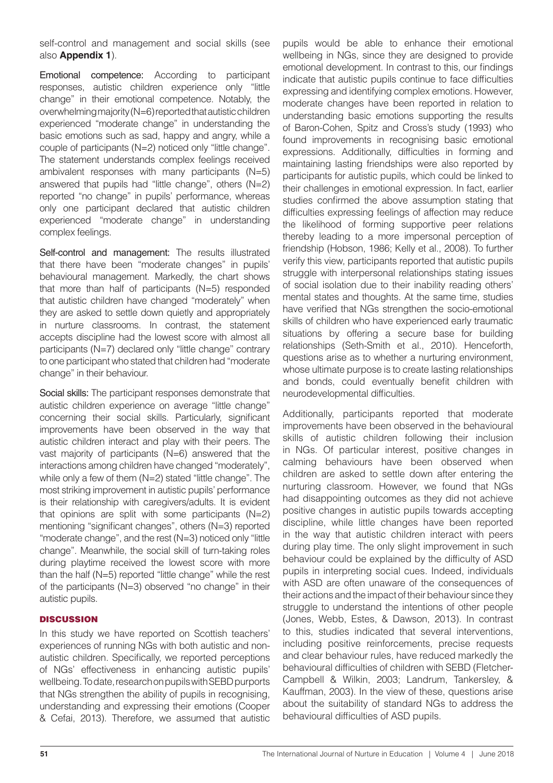self-control and management and social skills (see also **Appendix 1**).

Emotional competence: According to participant responses, autistic children experience only "little change" in their emotional competence. Notably, the overwhelming majority (N=6) reported that autistic children experienced "moderate change" in understanding the basic emotions such as sad, happy and angry, while a couple of participants (N=2) noticed only "little change". The statement understands complex feelings received ambivalent responses with many participants (N=5) answered that pupils had "little change", others (N=2) reported "no change" in pupils' performance, whereas only one participant declared that autistic children experienced "moderate change" in understanding complex feelings.

Self-control and management: The results illustrated that there have been "moderate changes" in pupils' behavioural management. Markedly, the chart shows that more than half of participants (N=5) responded that autistic children have changed "moderately" when they are asked to settle down quietly and appropriately in nurture classrooms. In contrast, the statement accepts discipline had the lowest score with almost all participants (N=7) declared only "little change'' contrary to one participant who stated that children had "moderate change" in their behaviour.

Social skills: The participant responses demonstrate that autistic children experience on average "little change" concerning their social skills. Particularly, significant improvements have been observed in the way that autistic children interact and play with their peers. The vast majority of participants (N=6) answered that the interactions among children have changed "moderately", while only a few of them (N=2) stated "little change". The most striking improvement in autistic pupils' performance is their relationship with caregivers/adults. It is evident that opinions are split with some participants  $(N=2)$ mentioning "significant changes", others (N=3) reported "moderate change", and the rest (N=3) noticed only "little change". Meanwhile, the social skill of turn-taking roles during playtime received the lowest score with more than the half (N=5) reported "little change" while the rest of the participants (N=3) observed "no change" in their autistic pupils.

#### **DISCUSSION**

In this study we have reported on Scottish teachers' experiences of running NGs with both autistic and nonautistic children. Specifically, we reported perceptions of NGs' effectiveness in enhancing autistic pupils' wellbeing. To date, research on pupils with SEBD purports that NGs strengthen the ability of pupils in recognising, understanding and expressing their emotions (Cooper & Cefai, 2013). Therefore, we assumed that autistic pupils would be able to enhance their emotional wellbeing in NGs, since they are designed to provide emotional development. In contrast to this, our findings indicate that autistic pupils continue to face difficulties expressing and identifying complex emotions. However, moderate changes have been reported in relation to understanding basic emotions supporting the results of Baron-Cohen, Spitz and Cross's study (1993) who found improvements in recognising basic emotional expressions. Additionally, difficulties in forming and maintaining lasting friendships were also reported by participants for autistic pupils, which could be linked to their challenges in emotional expression. In fact, earlier studies confirmed the above assumption stating that difficulties expressing feelings of affection may reduce the likelihood of forming supportive peer relations thereby leading to a more impersonal perception of friendship (Hobson, 1986; Kelly et al., 2008). To further verify this view, participants reported that autistic pupils struggle with interpersonal relationships stating issues of social isolation due to their inability reading others' mental states and thoughts. At the same time, studies have verified that NGs strengthen the socio-emotional skills of children who have experienced early traumatic situations by offering a secure base for building relationships (Seth-Smith et al., 2010). Henceforth, questions arise as to whether a nurturing environment, whose ultimate purpose is to create lasting relationships and bonds, could eventually benefit children with neurodevelopmental difficulties.

Additionally, participants reported that moderate improvements have been observed in the behavioural skills of autistic children following their inclusion in NGs. Of particular interest, positive changes in calming behaviours have been observed when children are asked to settle down after entering the nurturing classroom. However, we found that NGs had disappointing outcomes as they did not achieve positive changes in autistic pupils towards accepting discipline, while little changes have been reported in the way that autistic children interact with peers during play time. The only slight improvement in such behaviour could be explained by the difficulty of ASD pupils in interpreting social cues. Indeed, individuals with ASD are often unaware of the consequences of their actions and the impact of their behaviour since they struggle to understand the intentions of other people (Jones, Webb, Estes, & Dawson, 2013). In contrast to this, studies indicated that several interventions, including positive reinforcements, precise requests and clear behaviour rules, have reduced markedly the behavioural difficulties of children with SEBD (Fletcher-Campbell & Wilkin, 2003; Landrum, Tankersley, & Kauffman, 2003). In the view of these, questions arise about the suitability of standard NGs to address the behavioural difficulties of ASD pupils.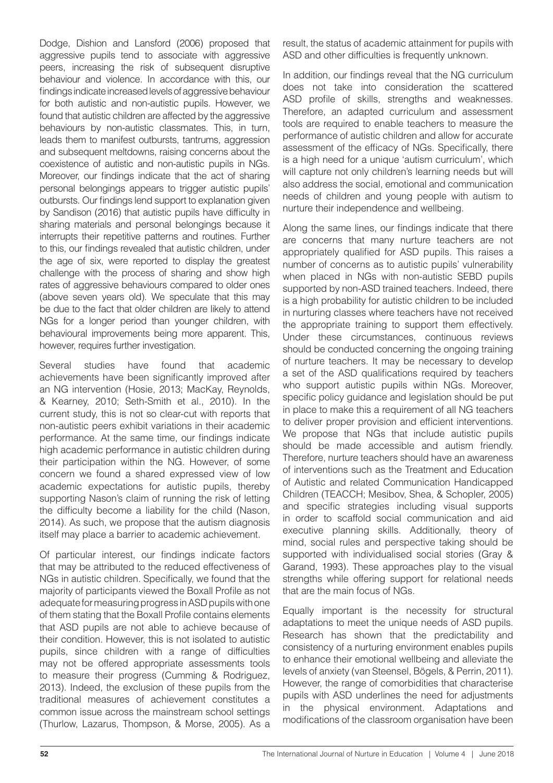Dodge, Dishion and Lansford (2006) proposed that aggressive pupils tend to associate with aggressive peers, increasing the risk of subsequent disruptive behaviour and violence. In accordance with this, our findings indicate increased levels of aggressive behaviour for both autistic and non-autistic pupils. However, we found that autistic children are affected by the aggressive behaviours by non-autistic classmates. This, in turn, leads them to manifest outbursts, tantrums, aggression and subsequent meltdowns, raising concerns about the coexistence of autistic and non-autistic pupils in NGs. Moreover, our findings indicate that the act of sharing personal belongings appears to trigger autistic pupils' outbursts. Our findings lend support to explanation given by Sandison (2016) that autistic pupils have difficulty in sharing materials and personal belongings because it interrupts their repetitive patterns and routines. Further to this, our findings revealed that autistic children, under the age of six, were reported to display the greatest challenge with the process of sharing and show high rates of aggressive behaviours compared to older ones (above seven years old). We speculate that this may be due to the fact that older children are likely to attend NGs for a longer period than younger children, with behavioural improvements being more apparent. This, however, requires further investigation.

Several studies have found that academic achievements have been significantly improved after an NG intervention (Hosie, 2013; MacKay, Reynolds, & Kearney, 2010; Seth-Smith et al., 2010). In the current study, this is not so clear-cut with reports that non-autistic peers exhibit variations in their academic performance. At the same time, our findings indicate high academic performance in autistic children during their participation within the NG. However, of some concern we found a shared expressed view of low academic expectations for autistic pupils, thereby supporting Nason's claim of running the risk of letting the difficulty become a liability for the child (Nason, 2014). As such, we propose that the autism diagnosis itself may place a barrier to academic achievement.

Of particular interest, our findings indicate factors that may be attributed to the reduced effectiveness of NGs in autistic children. Specifically, we found that the majority of participants viewed the Boxall Profile as not adequate for measuring progress in ASD pupils with one of them stating that the Boxall Profile contains elements that ASD pupils are not able to achieve because of their condition. However, this is not isolated to autistic pupils, since children with a range of difficulties may not be offered appropriate assessments tools to measure their progress (Cumming & Rodriguez, 2013). Indeed, the exclusion of these pupils from the traditional measures of achievement constitutes a common issue across the mainstream school settings (Thurlow, Lazarus, Thompson, & Morse, 2005). As a

result, the status of academic attainment for pupils with ASD and other difficulties is frequently unknown.

In addition, our findings reveal that the NG curriculum does not take into consideration the scattered ASD profile of skills, strengths and weaknesses. Therefore, an adapted curriculum and assessment tools are required to enable teachers to measure the performance of autistic children and allow for accurate assessment of the efficacy of NGs. Specifically, there is a high need for a unique 'autism curriculum', which will capture not only children's learning needs but will also address the social, emotional and communication needs of children and young people with autism to nurture their independence and wellbeing.

Along the same lines, our findings indicate that there are concerns that many nurture teachers are not appropriately qualified for ASD pupils. This raises a number of concerns as to autistic pupils' vulnerability when placed in NGs with non-autistic SEBD pupils supported by non-ASD trained teachers. Indeed, there is a high probability for autistic children to be included in nurturing classes where teachers have not received the appropriate training to support them effectively. Under these circumstances, continuous reviews should be conducted concerning the ongoing training of nurture teachers. It may be necessary to develop a set of the ASD qualifications required by teachers who support autistic pupils within NGs. Moreover, specific policy guidance and legislation should be put in place to make this a requirement of all NG teachers to deliver proper provision and efficient interventions. We propose that NGs that include autistic pupils should be made accessible and autism friendly. Therefore, nurture teachers should have an awareness of interventions such as the Treatment and Education of Autistic and related Communication Handicapped Children (TEACCH; Mesibov, Shea, & Schopler, 2005) and specific strategies including visual supports in order to scaffold social communication and aid executive planning skills. Additionally, theory of mind, social rules and perspective taking should be supported with individualised social stories (Gray & Garand, 1993). These approaches play to the visual strengths while offering support for relational needs that are the main focus of NGs.

Equally important is the necessity for structural adaptations to meet the unique needs of ASD pupils. Research has shown that the predictability and consistency of a nurturing environment enables pupils to enhance their emotional wellbeing and alleviate the levels of anxiety (van Steensel, Bögels, & Perrin, 2011). However, the range of comorbidities that characterise pupils with ASD underlines the need for adjustments in the physical environment. Adaptations and modifications of the classroom organisation have been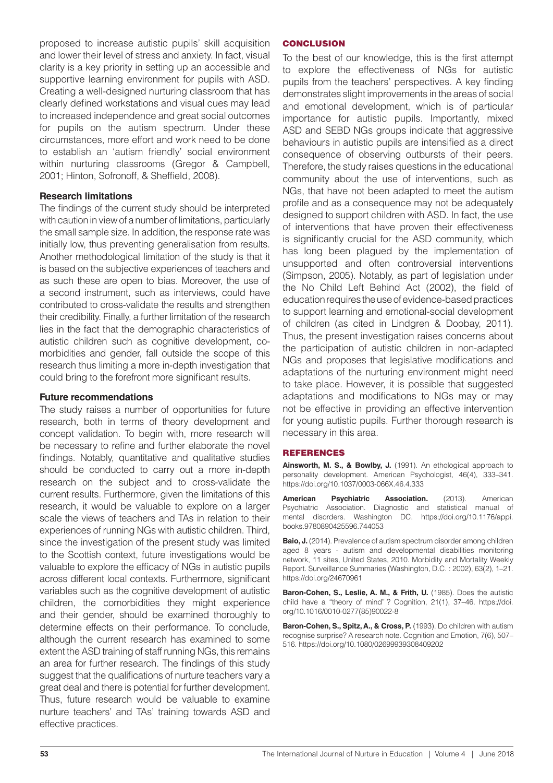proposed to increase autistic pupils' skill acquisition and lower their level of stress and anxiety. In fact, visual clarity is a key priority in setting up an accessible and supportive learning environment for pupils with ASD. Creating a well-designed nurturing classroom that has clearly defined workstations and visual cues may lead to increased independence and great social outcomes for pupils on the autism spectrum. Under these circumstances, more effort and work need to be done to establish an 'autism friendly' social environment within nurturing classrooms (Gregor & Campbell, 2001; Hinton, Sofronoff, & Sheffield, 2008).

#### **Research limitations**

The findings of the current study should be interpreted with caution in view of a number of limitations, particularly the small sample size. In addition, the response rate was initially low, thus preventing generalisation from results. Another methodological limitation of the study is that it is based on the subjective experiences of teachers and as such these are open to bias. Moreover, the use of a second instrument, such as interviews, could have contributed to cross-validate the results and strengthen their credibility. Finally, a further limitation of the research lies in the fact that the demographic characteristics of autistic children such as cognitive development, comorbidities and gender, fall outside the scope of this research thus limiting a more in-depth investigation that could bring to the forefront more significant results.

#### **Future recommendations**

The study raises a number of opportunities for future research, both in terms of theory development and concept validation. To begin with, more research will be necessary to refine and further elaborate the novel findings. Notably, quantitative and qualitative studies should be conducted to carry out a more in-depth research on the subject and to cross-validate the current results. Furthermore, given the limitations of this research, it would be valuable to explore on a larger scale the views of teachers and TAs in relation to their experiences of running NGs with autistic children. Third, since the investigation of the present study was limited to the Scottish context, future investigations would be valuable to explore the efficacy of NGs in autistic pupils across different local contexts. Furthermore, significant variables such as the cognitive development of autistic children, the comorbidities they might experience and their gender, should be examined thoroughly to determine effects on their performance. To conclude, although the current research has examined to some extent the ASD training of staff running NGs, this remains an area for further research. The findings of this study suggest that the qualifications of nurture teachers vary a great deal and there is potential for further development. Thus, future research would be valuable to examine nurture teachers' and TAs' training towards ASD and effective practices.

#### **CONCLUSION**

To the best of our knowledge, this is the first attempt to explore the effectiveness of NGs for autistic pupils from the teachers' perspectives. A key finding demonstrates slight improvements in the areas of social and emotional development, which is of particular importance for autistic pupils. Importantly, mixed ASD and SEBD NGs groups indicate that aggressive behaviours in autistic pupils are intensified as a direct consequence of observing outbursts of their peers. Therefore, the study raises questions in the educational community about the use of interventions, such as NGs, that have not been adapted to meet the autism profile and as a consequence may not be adequately designed to support children with ASD. In fact, the use of interventions that have proven their effectiveness is significantly crucial for the ASD community, which has long been plagued by the implementation of unsupported and often controversial interventions (Simpson, 2005). Notably, as part of legislation under the No Child Left Behind Act (2002), the field of education requires the use of evidence-based practices to support learning and emotional-social development of children (as cited in Lindgren & Doobay, 2011). Thus, the present investigation raises concerns about the participation of autistic children in non-adapted NGs and proposes that legislative modifications and adaptations of the nurturing environment might need to take place. However, it is possible that suggested adaptations and modifications to NGs may or may not be effective in providing an effective intervention for young autistic pupils. Further thorough research is necessary in this area.

#### REFERENCES

**Ainsworth, M. S., & Bowlby, J.** (1991). An ethological approach to personality development. American Psychologist, 46(4), 333–341. https://doi.org/10.1037/0003-066X.46.4.333

**American Psychiatric Association.** (2013). American Psychiatric Association. Diagnostic and statistical manual of mental disorders. Washington DC. https://doi.org/10.1176/appi. books.9780890425596.744053

**Baio, J.** (2014). Prevalence of autism spectrum disorder among children aged 8 years - autism and developmental disabilities monitoring network, 11 sites, United States, 2010. Morbidity and Mortality Weekly Report. Surveillance Summaries (Washington, D.C. : 2002), 63(2), 1–21. https://doi.org/24670961

**Baron-Cohen, S., Leslie, A. M., & Frith, U.** (1985). Does the autistic child have a "theory of mind" ? Cognition, 21(1), 37–46. https://doi. org/10.1016/0010-0277(85)90022-8

**Baron-Cohen, S., Spitz, A., & Cross, P.** (1993). Do children with autism recognise surprise? A research note. Cognition and Emotion, 7(6), 507– 516. https://doi.org/10.1080/02699939308409202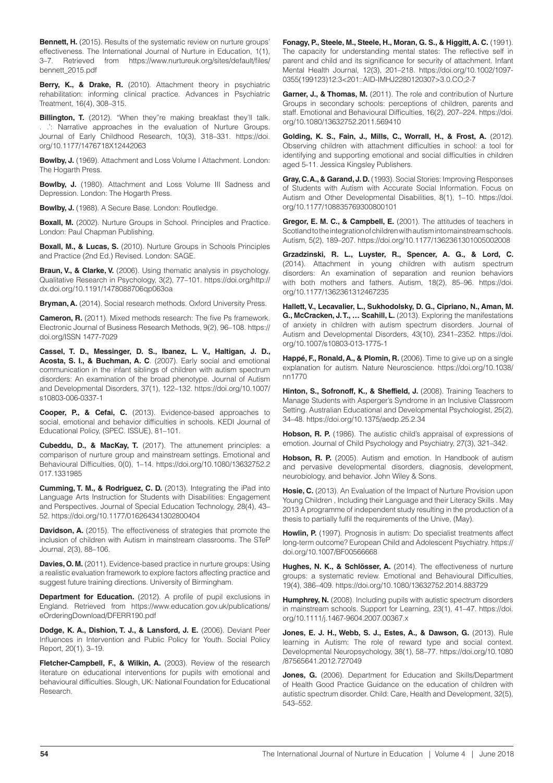**Bennett, H.** (2015). Results of the systematic review on nurture groups' effectiveness. The International Journal of Nurture in Education, 1(1), 3–7. Retrieved from https://www.nurtureuk.org/sites/default/files/ bennett\_2015.pdf

**Berry, K., & Drake, R.** (2010). Attachment theory in psychiatric rehabilitation: informing clinical practice. Advances in Psychiatric Treatment, 16(4), 308–315.

**Billington, T.** (2012). "When they"re making breakfast they'll talk. . .': Narrative approaches in the evaluation of Nurture Groups. Journal of Early Childhood Research, 10(3), 318–331. https://doi. org/10.1177/1476718X12442063

**Bowlby, J.** (1969). Attachment and Loss Volume I Attachment. London: The Hogarth Press.

**Bowlby, J.** (1980). Attachment and Loss Volume III Sadness and Depression. London: The Hogarth Press.

**Bowlby, J.** (1988). A Secure Base. London: Routledge.

**Boxall, M.** (2002). Nurture Groups in School. Principles and Practice. London: Paul Chapman Publishing.

**Boxall, M., & Lucas, S.** (2010). Nurture Groups in Schools Principles and Practice (2nd Ed.) Revised. London: SAGE.

**Braun, V., & Clarke, V.** (2006). Using thematic analysis in psychology. Qualitative Research in Psychology, 3(2), 77–101. https://doi.org/http:// dx.doi.org/10.1191/1478088706qp063oa

**Bryman, A.** (2014). Social research methods. Oxford University Press.

**Cameron, R.** (2011). Mixed methods research: The five Ps framework. Electronic Journal of Business Research Methods, 9(2), 96–108. https:// doi.org/ISSN 1477-7029

**Cassel, T. D., Messinger, D. S., Ibanez, L. V., Haltigan, J. D., Acosta, S. I., & Buchman, A. C**. (2007). Early social and emotional communication in the infant siblings of children with autism spectrum disorders: An examination of the broad phenotype. Journal of Autism and Developmental Disorders, 37(1), 122–132. https://doi.org/10.1007/ s10803-006-0337-1

**Cooper, P., & Cefai, C.** (2013). Evidence-based approaches to social, emotional and behavior difficulties in schools. KEDI Journal of Educational Policy, (SPEC. ISSUE), 81–101.

**Cubeddu, D., & MacKay, T.** (2017). The attunement principles: a comparison of nurture group and mainstream settings. Emotional and Behavioural Difficulties, 0(0), 1–14. https://doi.org/10.1080/13632752.2 017.1331985

**Cumming, T. M., & Rodriguez, C. D.** (2013). Integrating the iPad into Language Arts Instruction for Students with Disabilities: Engagement and Perspectives. Journal of Special Education Technology, 28(4), 43– 52. https://doi.org/10.1177/016264341302800404

**Davidson, A.** (2015). The effectiveness of strategies that promote the inclusion of children with Autism in mainstream classrooms. The STeP Journal, 2(3), 88–106.

**Davies, O. M.** (2011). Evidence-based practice in nurture groups: Using a realistic evaluation framework to explore factors affecting practice and suggest future training directions. University of Birmingham.

**Department for Education.** (2012). A profile of pupil exclusions in England. Retrieved from https://www.education.gov.uk/publications/ eOrderingDownload/DFERR190.pdf

**Dodge, K. A., Dishion, T. J., & Lansford, J. E.** (2006). Deviant Peer Influences in Intervention and Public Policy for Youth. Social Policy Report, 20(1), 3–19.

**Fletcher-Campbell, F., & Wilkin, A.** (2003). Review of the research literature on educational interventions for pupils with emotional and behavioural difficulties. Slough, UK: National Foundation for Educational Research.

**Fonagy, P., Steele, M., Steele, H., Moran, G. S., & Higgitt, A. C.** (1991). The capacity for understanding mental states: The reflective self in parent and child and its significance for security of attachment. Infant Mental Health Journal, 12(3), 201–218. https://doi.org/10.1002/1097- 0355(199123)12:3<201::AID-IMHJ2280120307>3.0.CO;2-7

**Garner, J., & Thomas, M.** (2011). The role and contribution of Nurture Groups in secondary schools: perceptions of children, parents and staff. Emotional and Behavioural Difficulties, 16(2), 207–224. https://doi. org/10.1080/13632752.2011.569410

**Golding, K. S., Fain, J., Mills, C., Worrall, H., & Frost, A.** (2012). Observing children with attachment difficulties in school: a tool for identifying and supporting emotional and social difficulties in children aged 5-11. Jessica Kingsley Publishers.

**Gray, C. A., & Garand, J. D.** (1993). Social Stories: Improving Responses of Students with Autism with Accurate Social Information. Focus on Autism and Other Developmental Disabilities, 8(1), 1–10. https://doi. org/10.1177/108835769300800101

**Gregor, E. M. C., & Campbell, E.** (2001). The attitudes of teachers in Scotland to the integration of children with autism into mainstream schools. Autism, 5(2), 189–207. https://doi.org/10.1177/1362361301005002008

**Grzadzinski, R. L., Luyster, R., Spencer, A. G., & Lord, C.**  (2014). Attachment in young children with autism spectrum disorders: An examination of separation and reunion behaviors with both mothers and fathers. Autism, 18(2), 85–96. https://doi. org/10.1177/1362361312467235

**Hallett, V., Lecavalier, L., Sukhodolsky, D. G., Cipriano, N., Aman, M. G., McCracken, J. T., … Scahill, L.** (2013). Exploring the manifestations of anxiety in children with autism spectrum disorders. Journal of Autism and Developmental Disorders, 43(10), 2341–2352. https://doi. org/10.1007/s10803-013-1775-1

**Happé, F., Ronald, A., & Plomin, R.** (2006). Time to give up on a single explanation for autism. Nature Neuroscience. https://doi.org/10.1038/ nn1770

Hinton, S., Sofronoff, K., & Sheffield, J. (2008). Training Teachers to Manage Students with Asperger's Syndrome in an Inclusive Classroom Setting. Australian Educational and Developmental Psychologist, 25(2), 34–48. https://doi.org/10.1375/aedp.25.2.34

**Hobson, R. P.** (1986). The autistic child's appraisal of expressions of emotion. Journal of Child Psychology and Psychiatry, 27(3), 321–342.

**Hobson, R. P.** (2005). Autism and emotion. In Handbook of autism and pervasive developmental disorders, diagnosis, development, neurobiology, and behavior. John Wiley & Sons.

**Hosie, C.** (2013). An Evaluation of the Impact of Nurture Provision upon Young Children , Including their Language and their Literacy Skills . May 2013 A programme of independent study resulting in the production of a thesis to partially fulfil the requirements of the Unive, (May).

Howlin, P. (1997). Prognosis in autism: Do specialist treatments affect long-term outcome? European Child and Adolescent Psychiatry. https:// doi.org/10.1007/BF00566668

**Hughes, N. K., & Schlösser, A.** (2014). The effectiveness of nurture groups: a systematic review. Emotional and Behavioural Difficulties, 19(4), 386–409. https://doi.org/10.1080/13632752.2014.883729

Humphrey, N. (2008). Including pupils with autistic spectrum disorders in mainstream schools. Support for Learning, 23(1), 41–47. https://doi. org/10.1111/j.1467-9604.2007.00367.x

**Jones, E. J. H., Webb, S. J., Estes, A., & Dawson, G.** (2013). Rule learning in Autism: The role of reward type and social context. Developmental Neuropsychology, 38(1), 58–77. https://doi.org/10.1080 /87565641.2012.727049

**Jones, G.** (2006). Department for Education and Skills/Department of Health Good Practice Guidance on the education of children with autistic spectrum disorder. Child: Care, Health and Development, 32(5), 543–552.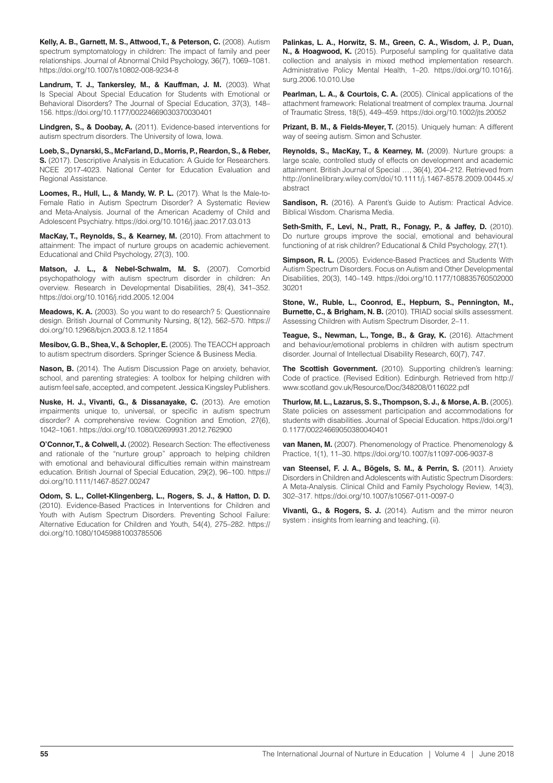**Kelly, A. B., Garnett, M. S., Attwood, T., & Peterson, C.** (2008). Autism spectrum symptomatology in children: The impact of family and peer relationships. Journal of Abnormal Child Psychology, 36(7), 1069–1081. https://doi.org/10.1007/s10802-008-9234-8

**Landrum, T. J., Tankersley, M., & Kauffman, J. M.** (2003). What Is Special About Special Education for Students with Emotional or Behavioral Disorders? The Journal of Special Education, 37(3), 148– 156. https://doi.org/10.1177/00224669030370030401

**Lindgren, S., & Doobay, A.** (2011). Evidence-based interventions for autism spectrum disorders. The University of Iowa, Iowa.

**Loeb, S., Dynarski, S., McFarland, D., Morris, P., Reardon, S., & Reber, S.** (2017). Descriptive Analysis in Education: A Guide for Researchers. NCEE 2017-4023. National Center for Education Evaluation and Regional Assistance.

**Loomes, R., Hull, L., & Mandy, W. P. L.** (2017). What Is the Male-to-Female Ratio in Autism Spectrum Disorder? A Systematic Review and Meta-Analysis. Journal of the American Academy of Child and Adolescent Psychiatry. https://doi.org/10.1016/j.jaac.2017.03.013

**MacKay, T., Reynolds, S., & Kearney, M.** (2010). From attachment to attainment: The impact of nurture groups on academic achievement. Educational and Child Psychology, 27(3), 100.

**Matson, J. L., & Nebel-Schwalm, M. S.** (2007). Comorbid psychopathology with autism spectrum disorder in children: An overview. Research in Developmental Disabilities, 28(4), 341–352. https://doi.org/10.1016/j.ridd.2005.12.004

**Meadows, K. A.** (2003). So you want to do research? 5: Questionnaire design. British Journal of Community Nursing, 8(12), 562–570. https:// doi.org/10.12968/bjcn.2003.8.12.11854

**Mesibov, G. B., Shea, V., & Schopler, E.** (2005). The TEACCH approach to autism spectrum disorders. Springer Science & Business Media.

**Nason, B.** (2014). The Autism Discussion Page on anxiety, behavior, school, and parenting strategies: A toolbox for helping children with autism feel safe, accepted, and competent. Jessica Kingsley Publishers.

**Nuske, H. J., Vivanti, G., & Dissanayake, C.** (2013). Are emotion impairments unique to, universal, or specific in autism spectrum disorder? A comprehensive review. Cognition and Emotion, 27(6), 1042–1061. https://doi.org/10.1080/02699931.2012.762900

**O'Connor, T., & Colwell, J.** (2002). Research Section: The effectiveness and rationale of the "nurture group" approach to helping children with emotional and behavioural difficulties remain within mainstream education. British Journal of Special Education, 29(2), 96–100. https:// doi.org/10.1111/1467-8527.00247

**Odom, S. L., Collet-Klingenberg, L., Rogers, S. J., & Hatton, D. D.** (2010). Evidence-Based Practices in Interventions for Children and Youth with Autism Spectrum Disorders. Preventing School Failure: Alternative Education for Children and Youth, 54(4), 275–282. https:// doi.org/10.1080/10459881003785506

**Palinkas, L. A., Horwitz, S. M., Green, C. A., Wisdom, J. P., Duan, N., & Hoagwood, K.** (2015). Purposeful sampling for qualitative data collection and analysis in mixed method implementation research. Administrative Policy Mental Health, 1–20. https://doi.org/10.1016/j. surg.2006.10.010.Use

**Pearlman, L. A., & Courtois, C. A.** (2005). Clinical applications of the attachment framework: Relational treatment of complex trauma. Journal of Traumatic Stress, 18(5), 449–459. https://doi.org/10.1002/jts.20052

**Prizant, B. M., & Fields-Meyer, T.** (2015). Uniquely human: A different way of seeing autism. Simon and Schuster.

**Reynolds, S., MacKay, T., & Kearney, M.** (2009). Nurture groups: a large scale, controlled study of effects on development and academic attainment. British Journal of Special …, 36(4), 204–212. Retrieved from http://onlinelibrary.wiley.com/doi/10.1111/j.1467-8578.2009.00445.x/ abstract

**Sandison, R.** (2016). A Parent's Guide to Autism: Practical Advice. Biblical Wisdom. Charisma Media.

**Seth-Smith, F., Levi, N., Pratt, R., Fonagy, P., & Jaffey, D.** (2010). Do nurture groups improve the social, emotional and behavioural functioning of at risk children? Educational & Child Psychology, 27(1).

**Simpson, R. L.** (2005). Evidence-Based Practices and Students With Autism Spectrum Disorders. Focus on Autism and Other Developmental Disabilities, 20(3), 140–149. https://doi.org/10.1177/108835760502000 30201

**Stone, W., Ruble, L., Coonrod, E., Hepburn, S., Pennington, M., Burnette, C., & Brigham, N. B.** (2010). TRIAD social skills assessment. Assessing Children with Autism Spectrum Disorder, 2–11.

**Teague, S., Newman, L., Tonge, B., & Gray, K.** (2016). Attachment and behaviour/emotional problems in children with autism spectrum disorder. Journal of Intellectual Disability Research, 60(7), 747.

**The Scottish Government.** (2010). Supporting children's learning: Code of practice. (Revised Edition). Edinburgh. Retrieved from http:// www.scotland.gov.uk/Resource/Doc/348208/0116022.pdf

**Thurlow, M. L., Lazarus, S. S., Thompson, S. J., & Morse, A. B.** (2005). State policies on assessment participation and accommodations for students with disabilities. Journal of Special Education. https://doi.org/1 0.1177/00224669050380040401

**van Manen, M.** (2007). Phenomenology of Practice. Phenomenology & Practice, 1(1), 11–30. https://doi.org/10.1007/s11097-006-9037-8

**van Steensel, F. J. A., Bögels, S. M., & Perrin, S.** (2011). Anxiety Disorders in Children and Adolescents with Autistic Spectrum Disorders: A Meta-Analysis. Clinical Child and Family Psychology Review, 14(3), 302–317. https://doi.org/10.1007/s10567-011-0097-0

**Vivanti, G., & Rogers, S. J.** (2014). Autism and the mirror neuron system : insights from learning and teaching, (ii).